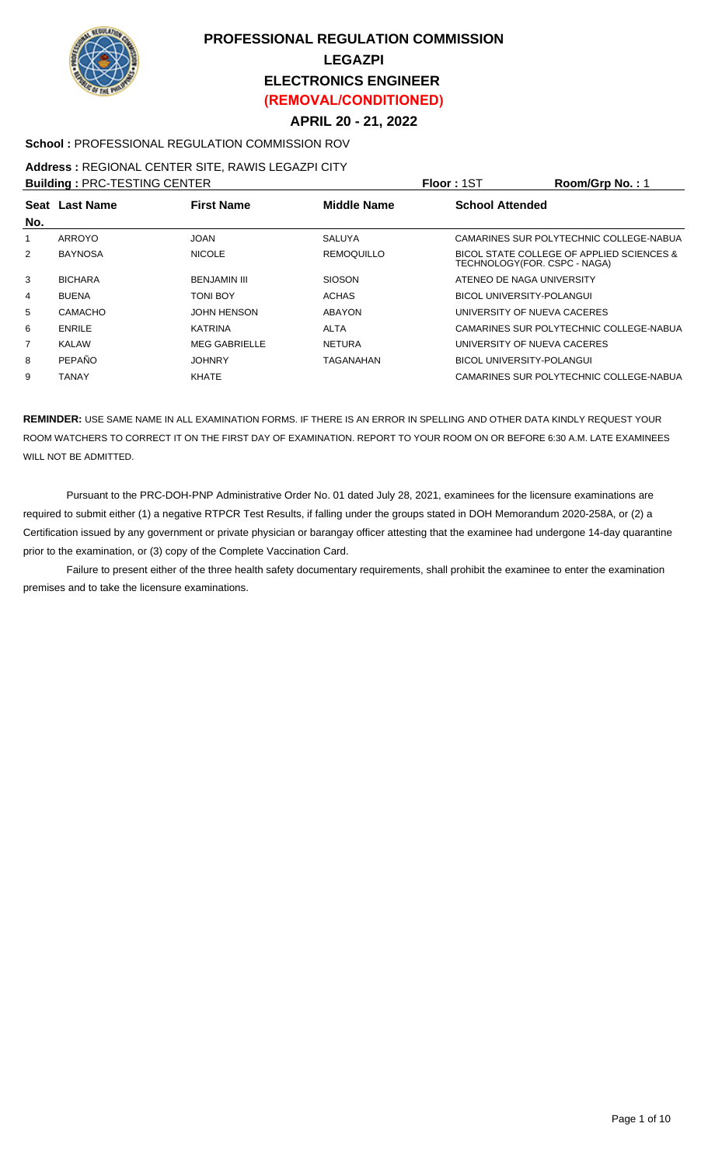

# **PROFESSIONAL REGULATION COMMISSION LEGAZPI ELECTRONICS ENGINEER (REMOVAL/CONDITIONED)**

## **APRIL 20 - 21, 2022**

## **School :** PROFESSIONAL REGULATION COMMISSION ROV

#### **Address :** REGIONAL CENTER SITE, RAWIS LEGAZPI CITY

| <b>Building: PRC-TESTING CENTER</b> |                |                      |                    | Floor: 1ST             | Room/Grp No.: 1                                                           |
|-------------------------------------|----------------|----------------------|--------------------|------------------------|---------------------------------------------------------------------------|
|                                     | Seat Last Name | <b>First Name</b>    | <b>Middle Name</b> | <b>School Attended</b> |                                                                           |
| No.                                 |                |                      |                    |                        |                                                                           |
| 1                                   | ARROYO         | <b>JOAN</b>          | <b>SALUYA</b>      |                        | CAMARINES SUR POLYTECHNIC COLLEGE-NABUA                                   |
| 2                                   | <b>BAYNOSA</b> | <b>NICOLE</b>        | <b>REMOQUILLO</b>  |                        | BICOL STATE COLLEGE OF APPLIED SCIENCES &<br>TECHNOLOGY(FOR. CSPC - NAGA) |
| 3                                   | <b>BICHARA</b> | <b>BENJAMIN III</b>  | <b>SIOSON</b>      |                        | ATENEO DE NAGA UNIVERSITY                                                 |
| 4                                   | <b>BUENA</b>   | TONI BOY             | <b>ACHAS</b>       |                        | <b>BICOL UNIVERSITY-POLANGUI</b>                                          |
| 5                                   | CAMACHO        | <b>JOHN HENSON</b>   | ABAYON             |                        | UNIVERSITY OF NUEVA CACERES                                               |
| 6                                   | <b>ENRILE</b>  | KATRINA              | <b>ALTA</b>        |                        | CAMARINES SUR POLYTECHNIC COLLEGE-NABUA                                   |
| 7                                   | <b>KALAW</b>   | <b>MEG GABRIELLE</b> | <b>NETURA</b>      |                        | UNIVERSITY OF NUEVA CACERES                                               |
| 8                                   | PEPAÑO         | <b>JOHNRY</b>        | TAGANAHAN          |                        | <b>BICOL UNIVERSITY-POLANGUI</b>                                          |
| 9                                   | <b>TANAY</b>   | <b>KHATE</b>         |                    |                        | CAMARINES SUR POLYTECHNIC COLLEGE-NABUA                                   |

**REMINDER:** USE SAME NAME IN ALL EXAMINATION FORMS. IF THERE IS AN ERROR IN SPELLING AND OTHER DATA KINDLY REQUEST YOUR ROOM WATCHERS TO CORRECT IT ON THE FIRST DAY OF EXAMINATION. REPORT TO YOUR ROOM ON OR BEFORE 6:30 A.M. LATE EXAMINEES WILL NOT BE ADMITTED.

 Pursuant to the PRC-DOH-PNP Administrative Order No. 01 dated July 28, 2021, examinees for the licensure examinations are required to submit either (1) a negative RTPCR Test Results, if falling under the groups stated in DOH Memorandum 2020-258A, or (2) a Certification issued by any government or private physician or barangay officer attesting that the examinee had undergone 14-day quarantine prior to the examination, or (3) copy of the Complete Vaccination Card.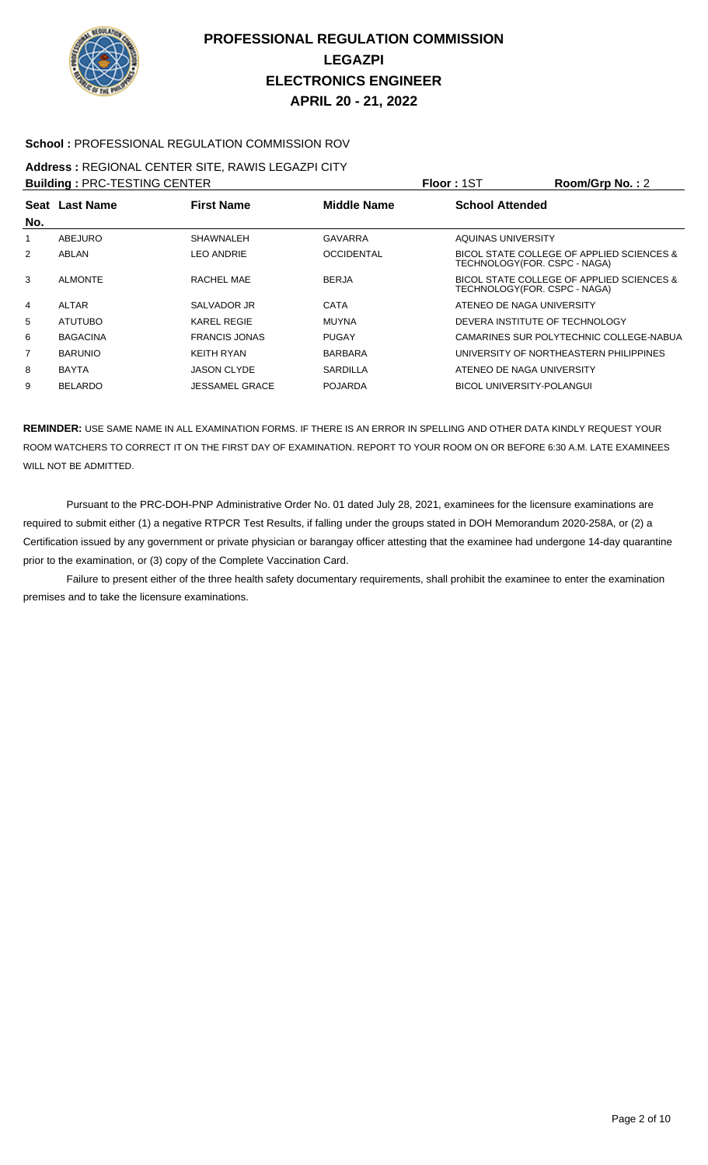

#### **School :** PROFESSIONAL REGULATION COMMISSION ROV

#### **Address :** REGIONAL CENTER SITE, RAWIS LEGAZPI CITY **Building :** PRC-TESTING CENTER **Floor :** 1ST **Room/Grp No. :** 2

|                | <b>Bullaing: PRC-TESTING CENTER</b> |                       | <b>FIOOL:</b> 151 | $\text{Room/Grp}$ No. : 2                                                  |
|----------------|-------------------------------------|-----------------------|-------------------|----------------------------------------------------------------------------|
| No.            | Seat Last Name                      | <b>First Name</b>     | Middle Name       | <b>School Attended</b>                                                     |
|                | <b>ABEJURO</b>                      | <b>SHAWNALEH</b>      | <b>GAVARRA</b>    | AQUINAS UNIVERSITY                                                         |
| 2              | ABLAN                               | <b>LEO ANDRIE</b>     | <b>OCCIDENTAL</b> | BICOL STATE COLLEGE OF APPLIED SCIENCES &<br>TECHNOLOGY(FOR. CSPC - NAGA)  |
| 3              | <b>ALMONTE</b>                      | RACHEL MAE            | <b>BERJA</b>      | BICOL STATE COLLEGE OF APPLIED SCIENCES &<br>TECHNOLOGY (FOR. CSPC - NAGA) |
| $\overline{4}$ | <b>ALTAR</b>                        | SALVADOR JR           | <b>CATA</b>       | ATENEO DE NAGA UNIVERSITY                                                  |
| 5              | <b>ATUTUBO</b>                      | <b>KAREL REGIE</b>    | <b>MUYNA</b>      | DEVERA INSTITUTE OF TECHNOLOGY                                             |
| 6              | <b>BAGACINA</b>                     | <b>FRANCIS JONAS</b>  | <b>PUGAY</b>      | CAMARINES SUR POLYTECHNIC COLLEGE-NABUA                                    |
| 7              | <b>BARUNIO</b>                      | <b>KEITH RYAN</b>     | <b>BARBARA</b>    | UNIVERSITY OF NORTHEASTERN PHILIPPINES                                     |
| 8              | <b>BAYTA</b>                        | <b>JASON CLYDE</b>    | <b>SARDILLA</b>   | ATENEO DE NAGA UNIVERSITY                                                  |
| 9              | <b>BELARDO</b>                      | <b>JESSAMEL GRACE</b> | <b>POJARDA</b>    | <b>BICOL UNIVERSITY-POLANGUI</b>                                           |
|                |                                     |                       |                   |                                                                            |

**REMINDER:** USE SAME NAME IN ALL EXAMINATION FORMS. IF THERE IS AN ERROR IN SPELLING AND OTHER DATA KINDLY REQUEST YOUR ROOM WATCHERS TO CORRECT IT ON THE FIRST DAY OF EXAMINATION. REPORT TO YOUR ROOM ON OR BEFORE 6:30 A.M. LATE EXAMINEES WILL NOT BE ADMITTED.

 Pursuant to the PRC-DOH-PNP Administrative Order No. 01 dated July 28, 2021, examinees for the licensure examinations are required to submit either (1) a negative RTPCR Test Results, if falling under the groups stated in DOH Memorandum 2020-258A, or (2) a Certification issued by any government or private physician or barangay officer attesting that the examinee had undergone 14-day quarantine prior to the examination, or (3) copy of the Complete Vaccination Card.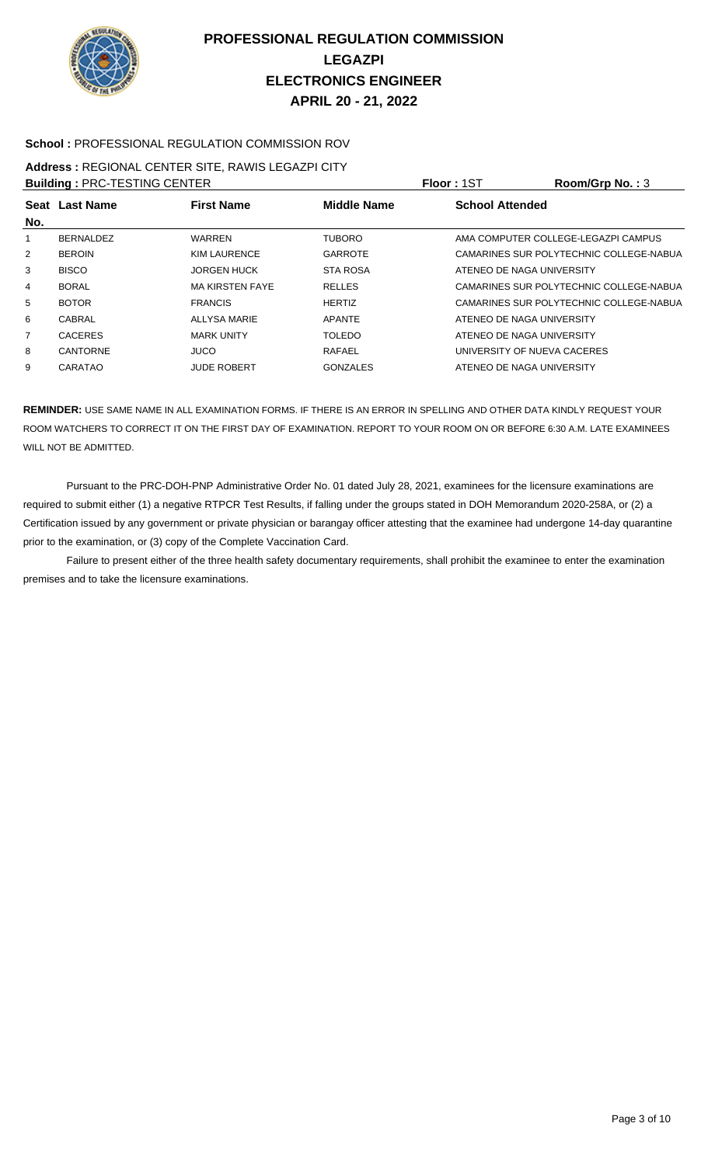

## **School :** PROFESSIONAL REGULATION COMMISSION ROV

#### **Address :** REGIONAL CENTER SITE, RAWIS LEGAZPI CITY **Building :** PRC-TESTING CENTER **Floor :** 1ST **Room/Grp No. :** 3

|                | <b>BUILDING . FRU-TESTING UENTER</b>                      |                        |                 | <b>FIUUI. IO</b> I     | <b>NUUIII/UI µ IVU.</b> .J              |  |
|----------------|-----------------------------------------------------------|------------------------|-----------------|------------------------|-----------------------------------------|--|
|                | <b>First Name</b><br>Seat Last Name<br><b>Middle Name</b> |                        |                 | <b>School Attended</b> |                                         |  |
| No.            |                                                           |                        |                 |                        |                                         |  |
|                | <b>BERNALDEZ</b>                                          | WARREN                 | <b>TUBORO</b>   |                        | AMA COMPUTER COLLEGE-LEGAZPI CAMPUS     |  |
| $\overline{2}$ | <b>BEROIN</b>                                             | KIM LAURENCE           | GARROTE         |                        | CAMARINES SUR POLYTECHNIC COLLEGE-NABUA |  |
| 3              | <b>BISCO</b>                                              | <b>JORGEN HUCK</b>     | <b>STA ROSA</b> |                        | ATENEO DE NAGA UNIVERSITY               |  |
| 4              | <b>BORAL</b>                                              | <b>MA KIRSTEN FAYE</b> | <b>RELLES</b>   |                        | CAMARINES SUR POLYTECHNIC COLLEGE-NABUA |  |
| 5              | <b>BOTOR</b>                                              | <b>FRANCIS</b>         | <b>HERTIZ</b>   |                        | CAMARINES SUR POLYTECHNIC COLLEGE-NABUA |  |
| 6              | CABRAL                                                    | <b>ALLYSA MARIE</b>    | <b>APANTE</b>   |                        | ATENEO DE NAGA UNIVERSITY               |  |
| $\overline{7}$ | <b>CACERES</b>                                            | <b>MARK UNITY</b>      | <b>TOLEDO</b>   |                        | ATENEO DE NAGA UNIVERSITY               |  |
| 8              | CANTORNE                                                  | <b>JUCO</b>            | <b>RAFAEL</b>   |                        | UNIVERSITY OF NUEVA CACERES             |  |
| 9              | CARATAO                                                   | <b>JUDE ROBERT</b>     | <b>GONZALES</b> |                        | ATENEO DE NAGA UNIVERSITY               |  |
|                |                                                           |                        |                 |                        |                                         |  |

**REMINDER:** USE SAME NAME IN ALL EXAMINATION FORMS. IF THERE IS AN ERROR IN SPELLING AND OTHER DATA KINDLY REQUEST YOUR ROOM WATCHERS TO CORRECT IT ON THE FIRST DAY OF EXAMINATION. REPORT TO YOUR ROOM ON OR BEFORE 6:30 A.M. LATE EXAMINEES WILL NOT BE ADMITTED.

 Pursuant to the PRC-DOH-PNP Administrative Order No. 01 dated July 28, 2021, examinees for the licensure examinations are required to submit either (1) a negative RTPCR Test Results, if falling under the groups stated in DOH Memorandum 2020-258A, or (2) a Certification issued by any government or private physician or barangay officer attesting that the examinee had undergone 14-day quarantine prior to the examination, or (3) copy of the Complete Vaccination Card.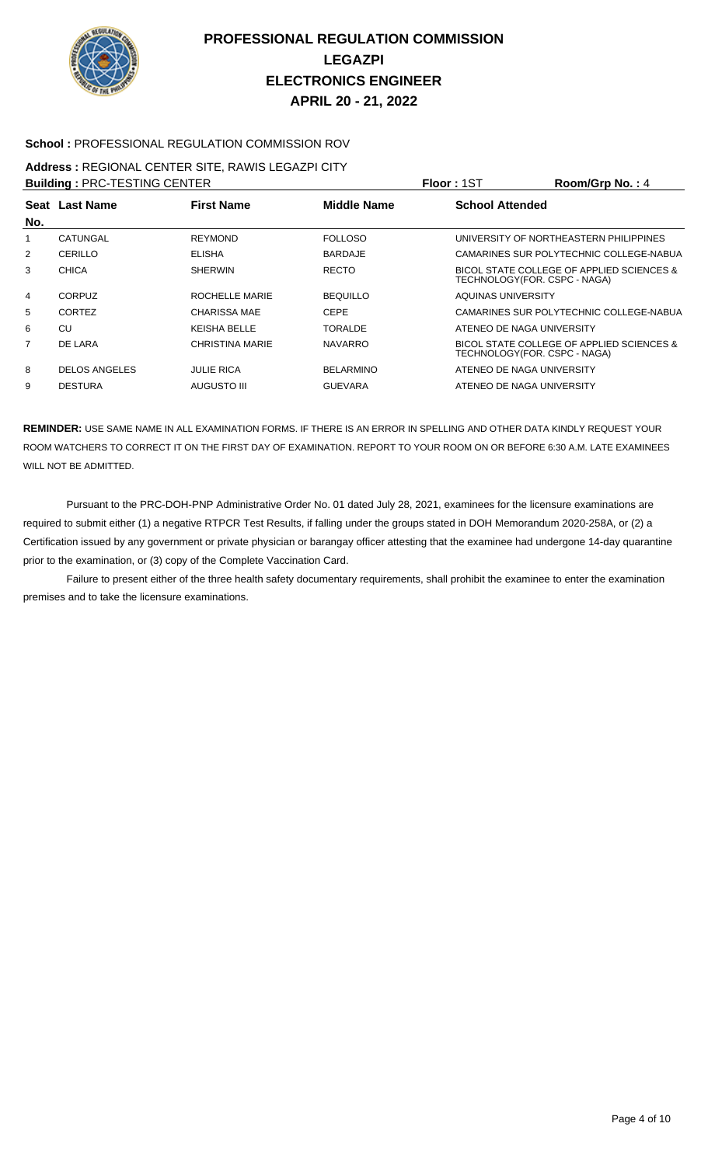

#### **School :** PROFESSIONAL REGULATION COMMISSION ROV

# **Address :** REGIONAL CENTER SITE, RAWIS LEGAZPI CITY

|                | <b>Building: PRC-TESTING CENTER</b> |                     |                    | Floor: 1ST                    | Room/Grp No.: 4                           |
|----------------|-------------------------------------|---------------------|--------------------|-------------------------------|-------------------------------------------|
|                | Seat Last Name                      | <b>First Name</b>   | <b>Middle Name</b> | <b>School Attended</b>        |                                           |
| No.            |                                     |                     |                    |                               |                                           |
| 1              | CATUNGAL                            | <b>REYMOND</b>      | <b>FOLLOSO</b>     |                               | UNIVERSITY OF NORTHEASTERN PHILIPPINES    |
| $\overline{2}$ | CERILLO                             | <b>ELISHA</b>       | <b>BARDAJE</b>     |                               | CAMARINES SUR POLYTECHNIC COLLEGE-NABUA   |
| 3              | <b>CHICA</b>                        | <b>SHERWIN</b>      | <b>RECTO</b>       | TECHNOLOGY (FOR. CSPC - NAGA) | BICOL STATE COLLEGE OF APPLIED SCIENCES & |
| 4              | <b>CORPUZ</b>                       | ROCHELLE MARIE      | <b>BEQUILLO</b>    | AQUINAS UNIVERSITY            |                                           |
| 5              | CORTEZ                              | <b>CHARISSA MAE</b> | <b>CEPE</b>        |                               | CAMARINES SUR POLYTECHNIC COLLEGE-NABUA   |
| 6              | CU                                  | KEISHA BELLE        | <b>TORALDE</b>     | ATENEO DE NAGA UNIVERSITY     |                                           |
| $\overline{7}$ | DE LARA                             | CHRISTINA MARIE     | <b>NAVARRO</b>     | TECHNOLOGY (FOR. CSPC - NAGA) | BICOL STATE COLLEGE OF APPLIED SCIENCES & |
| 8              | <b>DELOS ANGELES</b>                | <b>JULIE RICA</b>   | <b>BELARMINO</b>   | ATENEO DE NAGA UNIVERSITY     |                                           |
| 9              | <b>DESTURA</b>                      | <b>AUGUSTO III</b>  | <b>GUEVARA</b>     | ATENEO DE NAGA UNIVERSITY     |                                           |
|                |                                     |                     |                    |                               |                                           |

**REMINDER:** USE SAME NAME IN ALL EXAMINATION FORMS. IF THERE IS AN ERROR IN SPELLING AND OTHER DATA KINDLY REQUEST YOUR ROOM WATCHERS TO CORRECT IT ON THE FIRST DAY OF EXAMINATION. REPORT TO YOUR ROOM ON OR BEFORE 6:30 A.M. LATE EXAMINEES WILL NOT BE ADMITTED.

 Pursuant to the PRC-DOH-PNP Administrative Order No. 01 dated July 28, 2021, examinees for the licensure examinations are required to submit either (1) a negative RTPCR Test Results, if falling under the groups stated in DOH Memorandum 2020-258A, or (2) a Certification issued by any government or private physician or barangay officer attesting that the examinee had undergone 14-day quarantine prior to the examination, or (3) copy of the Complete Vaccination Card.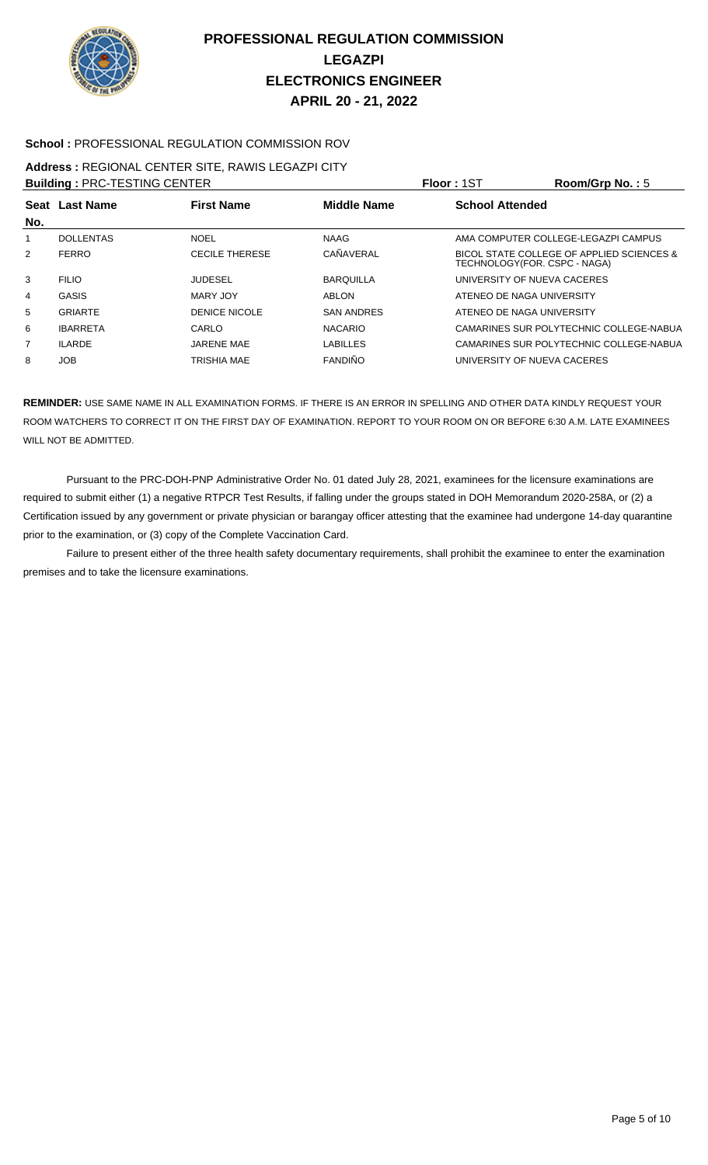

## **School :** PROFESSIONAL REGULATION COMMISSION ROV

## **Address :** REGIONAL CENTER SITE, RAWIS LEGAZPI CITY

| <b>Building: PRC-TESTING CENTER</b> |                  |                       |                    | Floor: 1ST                   | Room/Grp No.: 5                           |
|-------------------------------------|------------------|-----------------------|--------------------|------------------------------|-------------------------------------------|
| No.                                 | Seat Last Name   | <b>First Name</b>     | <b>Middle Name</b> | <b>School Attended</b>       |                                           |
|                                     | <b>DOLLENTAS</b> | <b>NOEL</b>           | <b>NAAG</b>        |                              | AMA COMPUTER COLLEGE-LEGAZPI CAMPUS       |
| 2                                   | <b>FERRO</b>     | <b>CECILE THERESE</b> | CAÑAVERAL          | TECHNOLOGY(FOR. CSPC - NAGA) | BICOL STATE COLLEGE OF APPLIED SCIENCES & |
| 3                                   | <b>FILIO</b>     | <b>JUDESEL</b>        | <b>BARQUILLA</b>   | UNIVERSITY OF NUEVA CACERES  |                                           |
| 4                                   | <b>GASIS</b>     | MARY JOY              | ABLON              | ATENEO DE NAGA UNIVERSITY    |                                           |
| 5                                   | <b>GRIARTE</b>   | DENICE NICOLE         | <b>SAN ANDRES</b>  | ATENEO DE NAGA UNIVERSITY    |                                           |
| 6                                   | <b>IBARRETA</b>  | CARLO                 | <b>NACARIO</b>     |                              | CAMARINES SUR POLYTECHNIC COLLEGE-NABUA   |
| 7                                   | <b>ILARDE</b>    | <b>JARENE MAE</b>     | <b>LABILLES</b>    |                              | CAMARINES SUR POLYTECHNIC COLLEGE-NABUA   |
| 8                                   | <b>JOB</b>       | <b>TRISHIA MAE</b>    | <b>FANDIÑO</b>     | UNIVERSITY OF NUEVA CACERES  |                                           |
|                                     |                  |                       |                    |                              |                                           |

**REMINDER:** USE SAME NAME IN ALL EXAMINATION FORMS. IF THERE IS AN ERROR IN SPELLING AND OTHER DATA KINDLY REQUEST YOUR ROOM WATCHERS TO CORRECT IT ON THE FIRST DAY OF EXAMINATION. REPORT TO YOUR ROOM ON OR BEFORE 6:30 A.M. LATE EXAMINEES WILL NOT BE ADMITTED.

 Pursuant to the PRC-DOH-PNP Administrative Order No. 01 dated July 28, 2021, examinees for the licensure examinations are required to submit either (1) a negative RTPCR Test Results, if falling under the groups stated in DOH Memorandum 2020-258A, or (2) a Certification issued by any government or private physician or barangay officer attesting that the examinee had undergone 14-day quarantine prior to the examination, or (3) copy of the Complete Vaccination Card.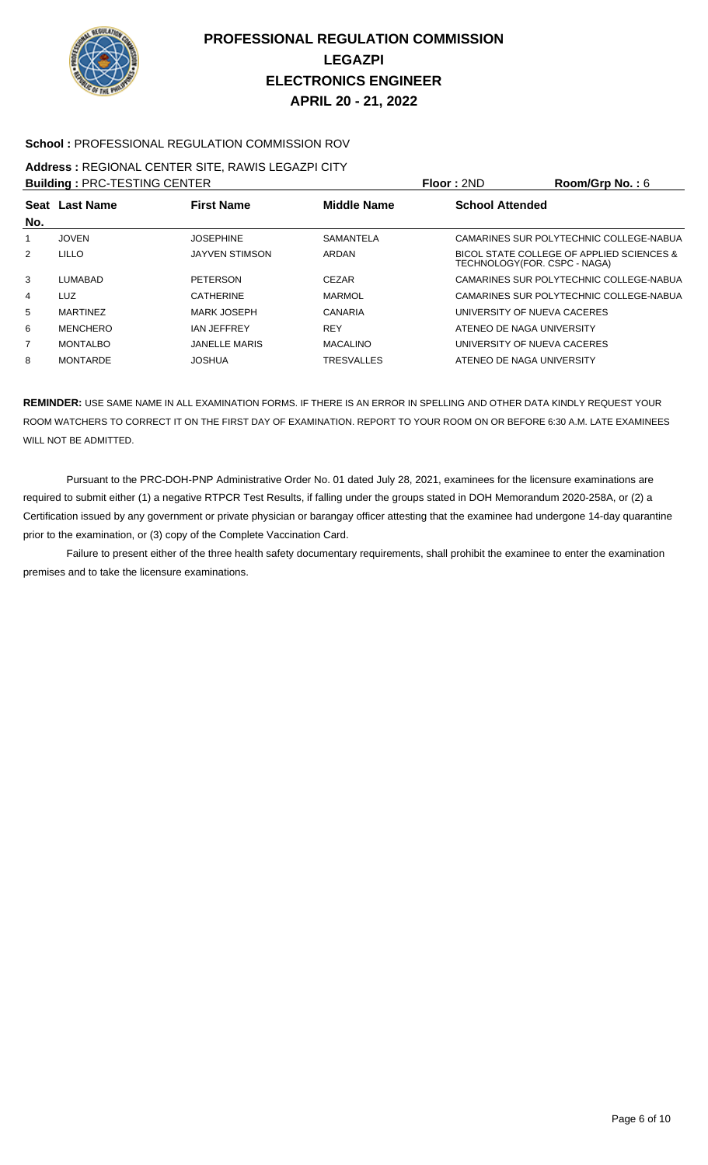

## **School :** PROFESSIONAL REGULATION COMMISSION ROV

# **Address :** REGIONAL CENTER SITE, RAWIS LEGAZPI CITY

|                | <b>Building: PRC-TESTING CENTER</b> |                       |                    | Floor: 2ND                    | Room/Grp No.: $6$                         |
|----------------|-------------------------------------|-----------------------|--------------------|-------------------------------|-------------------------------------------|
| No.            | <b>Seat Last Name</b>               | <b>First Name</b>     | <b>Middle Name</b> | <b>School Attended</b>        |                                           |
|                | <b>JOVEN</b>                        | <b>JOSEPHINE</b>      | SAMANTELA          |                               | CAMARINES SUR POLYTECHNIC COLLEGE-NABUA   |
| 2              | <b>LILLO</b>                        | <b>JAYVEN STIMSON</b> | ARDAN              | TECHNOLOGY (FOR. CSPC - NAGA) | BICOL STATE COLLEGE OF APPLIED SCIENCES & |
| 3              | LUMABAD                             | <b>PETERSON</b>       | <b>CEZAR</b>       |                               | CAMARINES SUR POLYTECHNIC COLLEGE-NABUA   |
| 4              | LUZ                                 | <b>CATHERINE</b>      | <b>MARMOL</b>      |                               | CAMARINES SUR POLYTECHNIC COLLEGE-NABUA   |
| 5              | <b>MARTINEZ</b>                     | MARK JOSEPH           | CANARIA            | UNIVERSITY OF NUEVA CACERES   |                                           |
| 6              | <b>MENCHERO</b>                     | <b>IAN JEFFREY</b>    | <b>REY</b>         | ATENEO DE NAGA UNIVERSITY     |                                           |
| $\overline{7}$ | <b>MONTALBO</b>                     | <b>JANELLE MARIS</b>  | <b>MACALINO</b>    | UNIVERSITY OF NUEVA CACERES   |                                           |
| 8              | <b>MONTARDE</b>                     | <b>JOSHUA</b>         | <b>TRESVALLES</b>  | ATENEO DE NAGA UNIVERSITY     |                                           |

**REMINDER:** USE SAME NAME IN ALL EXAMINATION FORMS. IF THERE IS AN ERROR IN SPELLING AND OTHER DATA KINDLY REQUEST YOUR ROOM WATCHERS TO CORRECT IT ON THE FIRST DAY OF EXAMINATION. REPORT TO YOUR ROOM ON OR BEFORE 6:30 A.M. LATE EXAMINEES WILL NOT BE ADMITTED.

 Pursuant to the PRC-DOH-PNP Administrative Order No. 01 dated July 28, 2021, examinees for the licensure examinations are required to submit either (1) a negative RTPCR Test Results, if falling under the groups stated in DOH Memorandum 2020-258A, or (2) a Certification issued by any government or private physician or barangay officer attesting that the examinee had undergone 14-day quarantine prior to the examination, or (3) copy of the Complete Vaccination Card.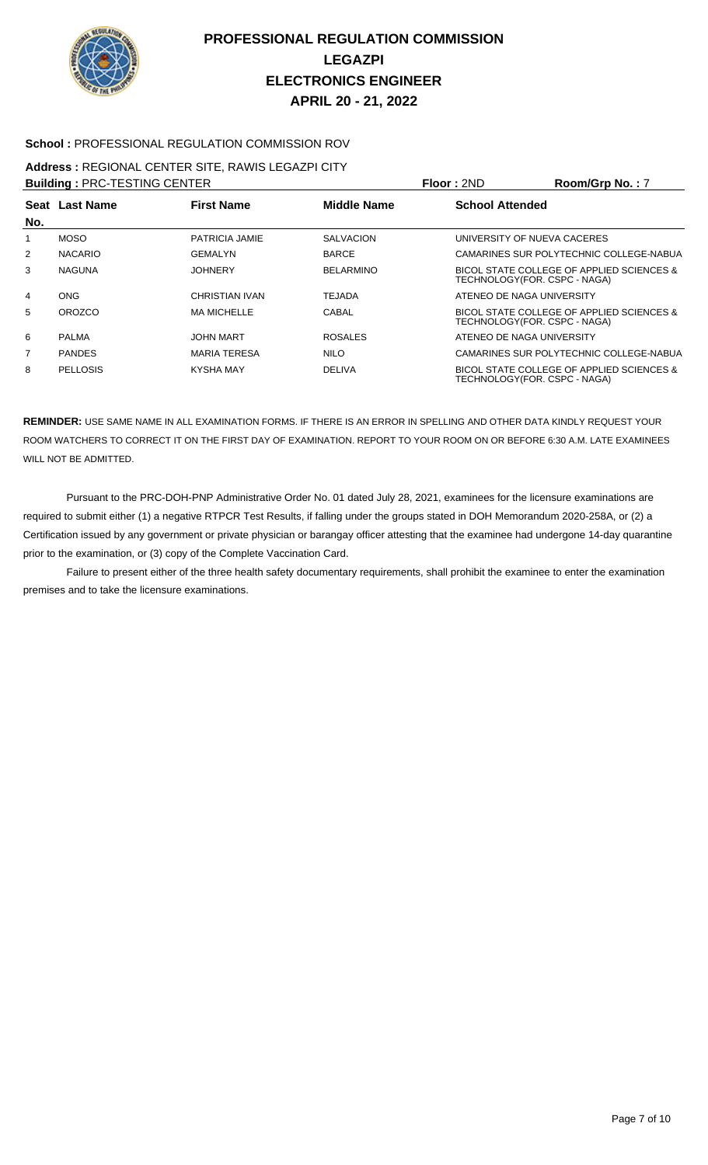

## **School :** PROFESSIONAL REGULATION COMMISSION ROV

#### **Address :** REGIONAL CENTER SITE, RAWIS LEGAZPI CITY **Building :** PRC-TESTING CENTER **Floor :** 2ND **Room/Grp No. :** 7

|                | <b>BUILDING : PRU-TESTING UENTER</b> |                     |                    | <b>FIOOI :</b> ZND     | $\kappa$ oom/Grp No. : /                                                   |
|----------------|--------------------------------------|---------------------|--------------------|------------------------|----------------------------------------------------------------------------|
|                | <b>Seat Last Name</b>                | <b>First Name</b>   | <b>Middle Name</b> | <b>School Attended</b> |                                                                            |
| No.            |                                      |                     |                    |                        |                                                                            |
| 1              | <b>MOSO</b>                          | PATRICIA JAMIE      | <b>SALVACION</b>   |                        | UNIVERSITY OF NUEVA CACERES                                                |
| $\overline{2}$ | <b>NACARIO</b>                       | GEMALYN             | <b>BARCE</b>       |                        | CAMARINES SUR POLYTECHNIC COLLEGE-NABUA                                    |
| 3              | <b>NAGUNA</b>                        | JOHNERY             | <b>BELARMINO</b>   |                        | BICOL STATE COLLEGE OF APPLIED SCIENCES &<br>TECHNOLOGY(FOR. CSPC - NAGA)  |
| 4              | <b>ONG</b>                           | CHRISTIAN IVAN      | <b>TEJADA</b>      |                        | ATENEO DE NAGA UNIVERSITY                                                  |
| 5              | <b>OROZCO</b>                        | <b>MA MICHELLE</b>  | CABAL              |                        | BICOL STATE COLLEGE OF APPLIED SCIENCES &<br>TECHNOLOGY (FOR. CSPC - NAGA) |
| 6              | <b>PALMA</b>                         | <b>JOHN MART</b>    | <b>ROSALES</b>     |                        | ATENEO DE NAGA UNIVERSITY                                                  |
| 7              | <b>PANDES</b>                        | <b>MARIA TERESA</b> | <b>NILO</b>        |                        | CAMARINES SUR POLYTECHNIC COLLEGE-NABUA                                    |
| 8              | <b>PELLOSIS</b>                      | <b>KYSHA MAY</b>    | <b>DELIVA</b>      |                        | BICOL STATE COLLEGE OF APPLIED SCIENCES &<br>TECHNOLOGY(FOR. CSPC - NAGA)  |

**REMINDER:** USE SAME NAME IN ALL EXAMINATION FORMS. IF THERE IS AN ERROR IN SPELLING AND OTHER DATA KINDLY REQUEST YOUR ROOM WATCHERS TO CORRECT IT ON THE FIRST DAY OF EXAMINATION. REPORT TO YOUR ROOM ON OR BEFORE 6:30 A.M. LATE EXAMINEES WILL NOT BE ADMITTED.

 Pursuant to the PRC-DOH-PNP Administrative Order No. 01 dated July 28, 2021, examinees for the licensure examinations are required to submit either (1) a negative RTPCR Test Results, if falling under the groups stated in DOH Memorandum 2020-258A, or (2) a Certification issued by any government or private physician or barangay officer attesting that the examinee had undergone 14-day quarantine prior to the examination, or (3) copy of the Complete Vaccination Card.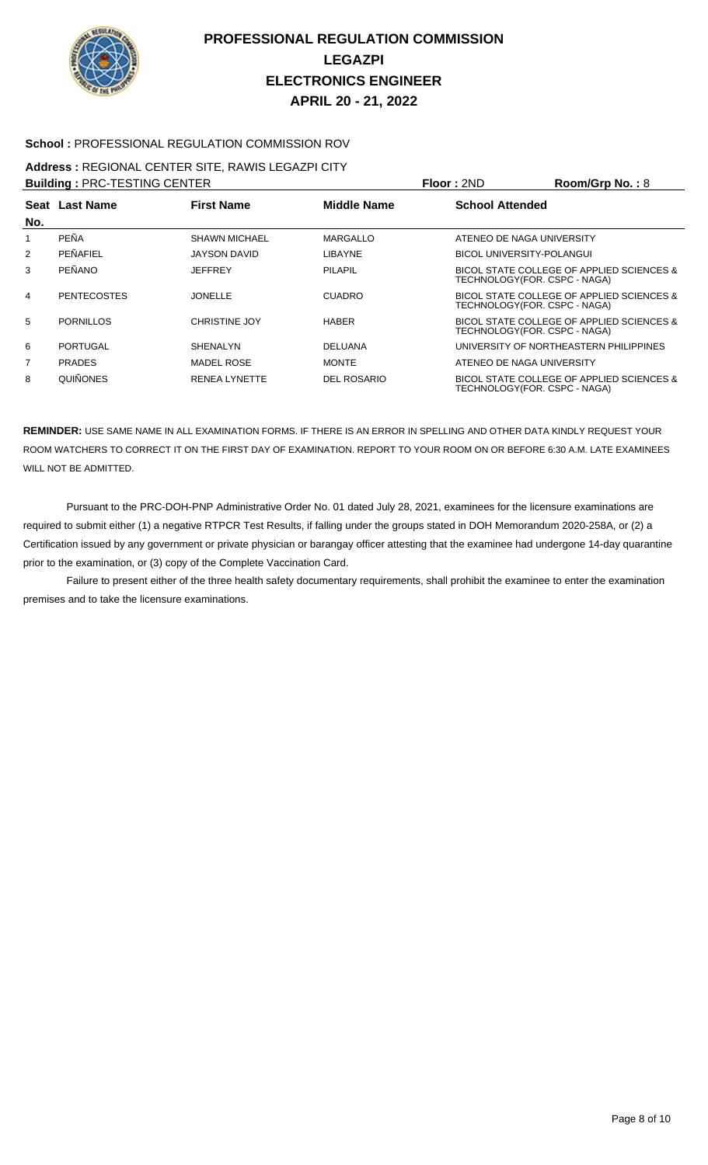

## **School :** PROFESSIONAL REGULATION COMMISSION ROV

#### **Address :** REGIONAL CENTER SITE, RAWIS LEGAZPI CITY **Building :** PRC-TESTING CENTER **Floor :** 2ND **Room/Grp No. :** 8

|     | <b>BUIIQING : PRU-TESTING UENTER</b> |                      |                | <b>FIOOF:</b> ZND      | <b>ROOM/GID NO. : 8</b>                                                    |
|-----|--------------------------------------|----------------------|----------------|------------------------|----------------------------------------------------------------------------|
| No. | Seat Last Name                       | <b>First Name</b>    | Middle Name    | <b>School Attended</b> |                                                                            |
|     | <b>PEÑA</b>                          | <b>SHAWN MICHAEL</b> | MARGALLO       |                        | ATENEO DE NAGA UNIVERSITY                                                  |
| 2   | PEÑAFIEL                             | JAYSON DAVID         | LIBAYNE        |                        | BICOL UNIVERSITY-POLANGUI                                                  |
| 3   | <b>PEÑANO</b>                        | JEFFREY              | <b>PILAPIL</b> |                        | BICOL STATE COLLEGE OF APPLIED SCIENCES &<br>TECHNOLOGY (FOR. CSPC - NAGA) |
| 4   | <b>PENTECOSTES</b>                   | <b>JONELLE</b>       | <b>CUADRO</b>  |                        | BICOL STATE COLLEGE OF APPLIED SCIENCES &<br>TECHNOLOGY (FOR. CSPC - NAGA) |
| 5   | <b>PORNILLOS</b>                     | <b>CHRISTINE JOY</b> | <b>HABER</b>   |                        | BICOL STATE COLLEGE OF APPLIED SCIENCES &<br>TECHNOLOGY(FOR. CSPC - NAGA)  |
| 6   | PORTUGAL                             | <b>SHENALYN</b>      | <b>DELUANA</b> |                        | UNIVERSITY OF NORTHEASTERN PHILIPPINES                                     |
| 7   | <b>PRADES</b>                        | <b>MADEL ROSE</b>    | <b>MONTE</b>   |                        | ATENEO DE NAGA UNIVERSITY                                                  |
| 8   | QUIÑONES                             | <b>RENEA LYNETTE</b> | DEL ROSARIO    |                        | BICOL STATE COLLEGE OF APPLIED SCIENCES &<br>TECHNOLOGY(FOR. CSPC - NAGA)  |

**REMINDER:** USE SAME NAME IN ALL EXAMINATION FORMS. IF THERE IS AN ERROR IN SPELLING AND OTHER DATA KINDLY REQUEST YOUR ROOM WATCHERS TO CORRECT IT ON THE FIRST DAY OF EXAMINATION. REPORT TO YOUR ROOM ON OR BEFORE 6:30 A.M. LATE EXAMINEES WILL NOT BE ADMITTED.

 Pursuant to the PRC-DOH-PNP Administrative Order No. 01 dated July 28, 2021, examinees for the licensure examinations are required to submit either (1) a negative RTPCR Test Results, if falling under the groups stated in DOH Memorandum 2020-258A, or (2) a Certification issued by any government or private physician or barangay officer attesting that the examinee had undergone 14-day quarantine prior to the examination, or (3) copy of the Complete Vaccination Card.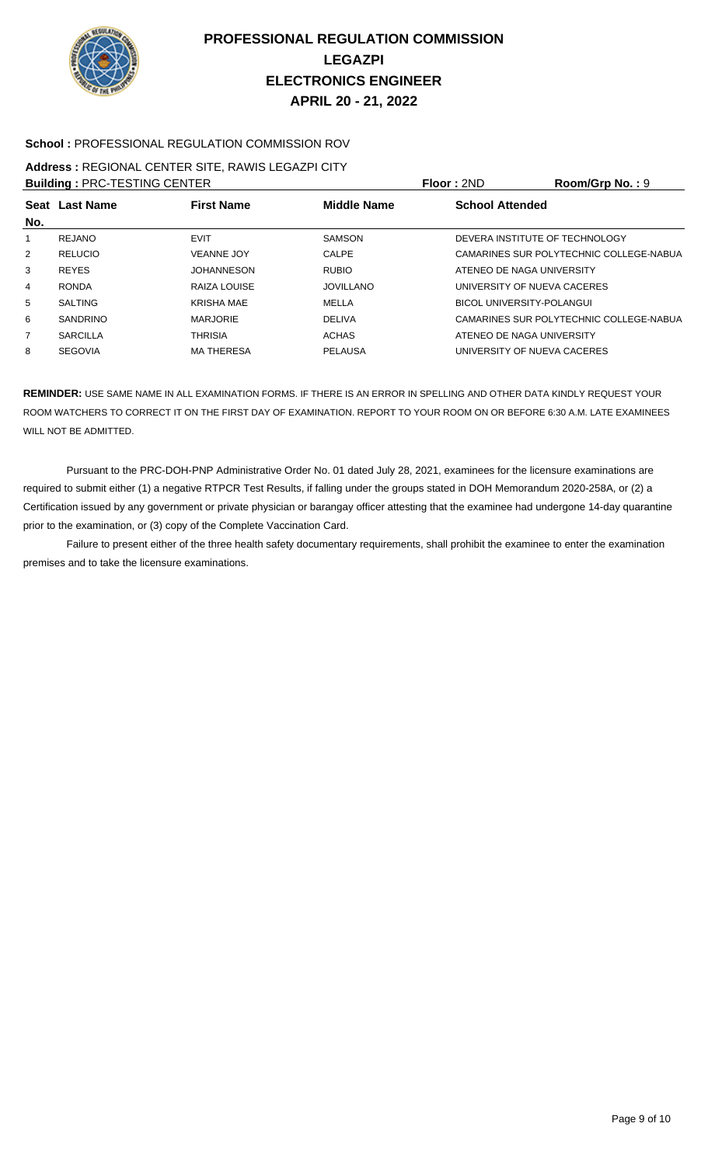

## **School :** PROFESSIONAL REGULATION COMMISSION ROV

#### **Address :** REGIONAL CENTER SITE, RAWIS LEGAZPI CITY **Building :** PRC-TESTING CENTER **Floor :** 2ND **Room/Grp No. :** 9

|                | <b>BUILDING : PRU-TESTING UENTER</b> |                   |                    | <b>FIOOI :</b> ZND<br><b>ROOM/GID NO. : 9</b> |
|----------------|--------------------------------------|-------------------|--------------------|-----------------------------------------------|
| No.            | Seat Last Name                       | <b>First Name</b> | <b>Middle Name</b> | <b>School Attended</b>                        |
|                | REJANO                               | <b>EVIT</b>       | <b>SAMSON</b>      | DEVERA INSTITUTE OF TECHNOLOGY                |
| $\overline{2}$ | <b>RELUCIO</b>                       | <b>VEANNE JOY</b> | CALPE              | CAMARINES SUR POLYTECHNIC COLLEGE-NABUA       |
| 3              | <b>REYES</b>                         | <b>JOHANNESON</b> | <b>RUBIO</b>       | ATENEO DE NAGA UNIVERSITY                     |
| 4              | <b>RONDA</b>                         | RAIZA LOUISE      | <b>JOVILLANO</b>   | UNIVERSITY OF NUEVA CACERES                   |
| 5              | <b>SALTING</b>                       | <b>KRISHA MAE</b> | MELLA              | BICOL UNIVERSITY-POLANGUI                     |
| 6              | <b>SANDRINO</b>                      | <b>MARJORIE</b>   | <b>DELIVA</b>      | CAMARINES SUR POLYTECHNIC COLLEGE-NABUA       |
| $\overline{7}$ | <b>SARCILLA</b>                      | <b>THRISIA</b>    | <b>ACHAS</b>       | ATENEO DE NAGA UNIVERSITY                     |
| 8              | <b>SEGOVIA</b>                       | <b>MA THERESA</b> | <b>PELAUSA</b>     | UNIVERSITY OF NUEVA CACERES                   |
|                |                                      |                   |                    |                                               |

**REMINDER:** USE SAME NAME IN ALL EXAMINATION FORMS. IF THERE IS AN ERROR IN SPELLING AND OTHER DATA KINDLY REQUEST YOUR ROOM WATCHERS TO CORRECT IT ON THE FIRST DAY OF EXAMINATION. REPORT TO YOUR ROOM ON OR BEFORE 6:30 A.M. LATE EXAMINEES WILL NOT BE ADMITTED.

 Pursuant to the PRC-DOH-PNP Administrative Order No. 01 dated July 28, 2021, examinees for the licensure examinations are required to submit either (1) a negative RTPCR Test Results, if falling under the groups stated in DOH Memorandum 2020-258A, or (2) a Certification issued by any government or private physician or barangay officer attesting that the examinee had undergone 14-day quarantine prior to the examination, or (3) copy of the Complete Vaccination Card.